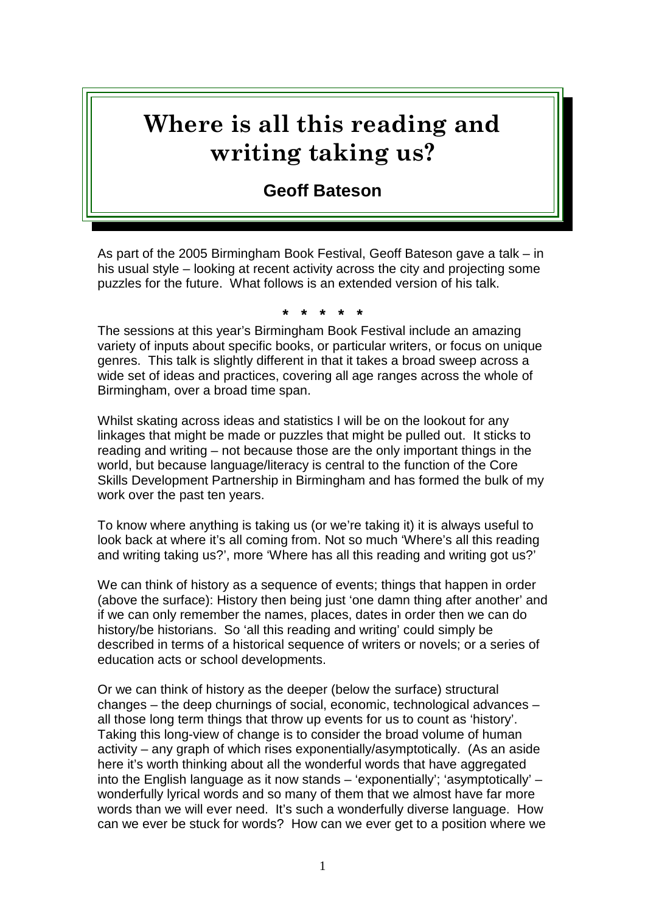## **Where is all this reading and writing taking us?**

## **Geoff Bateson**

As part of the 2005 Birmingham Book Festival, Geoff Bateson gave a talk – in his usual style – looking at recent activity across the city and projecting some puzzles for the future. What follows is an extended version of his talk.

**\* \* \* \* \***

The sessions at this year's Birmingham Book Festival include an amazing variety of inputs about specific books, or particular writers, or focus on unique genres. This talk is slightly different in that it takes a broad sweep across a wide set of ideas and practices, covering all age ranges across the whole of Birmingham, over a broad time span.

Whilst skating across ideas and statistics I will be on the lookout for any linkages that might be made or puzzles that might be pulled out. It sticks to reading and writing – not because those are the only important things in the world, but because language/literacy is central to the function of the Core Skills Development Partnership in Birmingham and has formed the bulk of my work over the past ten years.

To know where anything is taking us (or we're taking it) it is always useful to look back at where it's all coming from. Not so much 'Where's all this reading and writing taking us?', more 'Where has all this reading and writing got us?'

We can think of history as a sequence of events; things that happen in order (above the surface): History then being just 'one damn thing after another' and if we can only remember the names, places, dates in order then we can do history/be historians. So 'all this reading and writing' could simply be described in terms of a historical sequence of writers or novels; or a series of education acts or school developments.

Or we can think of history as the deeper (below the surface) structural changes – the deep churnings of social, economic, technological advances – all those long term things that throw up events for us to count as 'history'. Taking this long-view of change is to consider the broad volume of human activity – any graph of which rises exponentially/asymptotically. (As an aside here it's worth thinking about all the wonderful words that have aggregated into the English language as it now stands – 'exponentially'; 'asymptotically' – wonderfully lyrical words and so many of them that we almost have far more words than we will ever need. It's such a wonderfully diverse language. How can we ever be stuck for words? How can we ever get to a position where we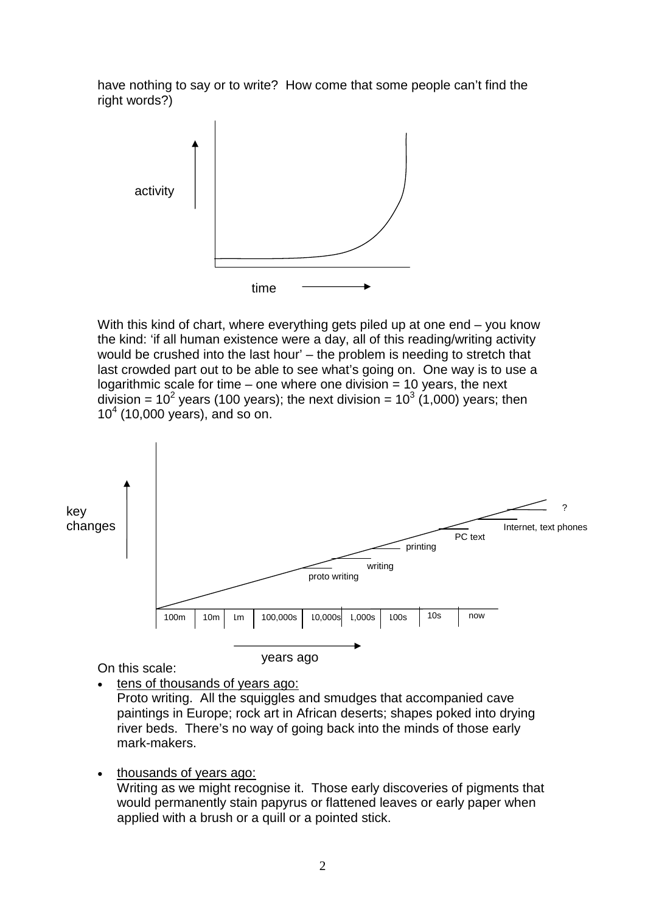have nothing to say or to write? How come that some people can't find the right words?)



With this kind of chart, where everything gets piled up at one end – you know the kind: 'if all human existence were a day, all of this reading/writing activity would be crushed into the last hour' – the problem is needing to stretch that last crowded part out to be able to see what's going on. One way is to use a logarithmic scale for time – one where one division  $= 10$  years, the next division = 10<sup>2</sup> years (100 years); the next division = 10<sup>3</sup> (1,000) years; then 10<sup>4</sup> (10,000 years), and so on.



On this scale:

tens of thousands of years ago:

Proto writing. All the squiggles and smudges that accompanied cave paintings in Europe; rock art in African deserts; shapes poked into drying river beds. There's no way of going back into the minds of those early mark-makers.

• thousands of years ago: Writing as we might recognise it. Those early discoveries of pigments that would permanently stain papyrus or flattened leaves or early paper when applied with a brush or a quill or a pointed stick.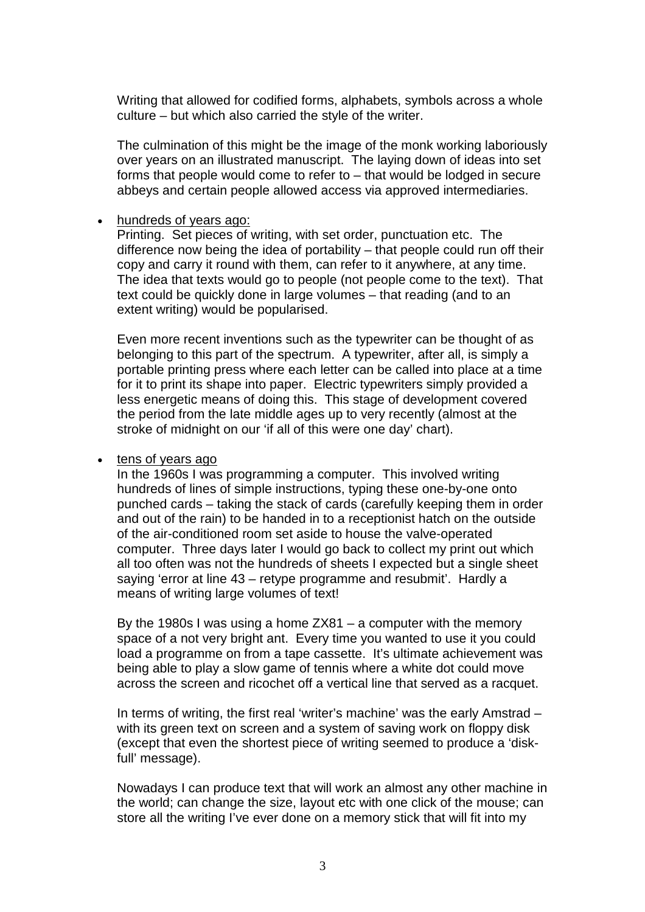Writing that allowed for codified forms, alphabets, symbols across a whole culture – but which also carried the style of the writer.

The culmination of this might be the image of the monk working laboriously over years on an illustrated manuscript. The laying down of ideas into set forms that people would come to refer to – that would be lodged in secure abbeys and certain people allowed access via approved intermediaries.

## hundreds of years ago:

Printing. Set pieces of writing, with set order, punctuation etc. The difference now being the idea of portability – that people could run off their copy and carry it round with them, can refer to it anywhere, at any time. The idea that texts would go to people (not people come to the text). That text could be quickly done in large volumes – that reading (and to an extent writing) would be popularised.

Even more recent inventions such as the typewriter can be thought of as belonging to this part of the spectrum. A typewriter, after all, is simply a portable printing press where each letter can be called into place at a time for it to print its shape into paper. Electric typewriters simply provided a less energetic means of doing this. This stage of development covered the period from the late middle ages up to very recently (almost at the stroke of midnight on our 'if all of this were one day' chart).

## • tens of years ago

In the 1960s I was programming a computer. This involved writing hundreds of lines of simple instructions, typing these one-by-one onto punched cards – taking the stack of cards (carefully keeping them in order and out of the rain) to be handed in to a receptionist hatch on the outside of the air-conditioned room set aside to house the valve-operated computer. Three days later I would go back to collect my print out which all too often was not the hundreds of sheets I expected but a single sheet saying 'error at line 43 – retype programme and resubmit'. Hardly a means of writing large volumes of text!

By the 1980s I was using a home ZX81 – a computer with the memory space of a not very bright ant. Every time you wanted to use it you could load a programme on from a tape cassette. It's ultimate achievement was being able to play a slow game of tennis where a white dot could move across the screen and ricochet off a vertical line that served as a racquet.

In terms of writing, the first real 'writer's machine' was the early Amstrad – with its green text on screen and a system of saving work on floppy disk (except that even the shortest piece of writing seemed to produce a 'diskfull' message).

Nowadays I can produce text that will work an almost any other machine in the world; can change the size, layout etc with one click of the mouse; can store all the writing I've ever done on a memory stick that will fit into my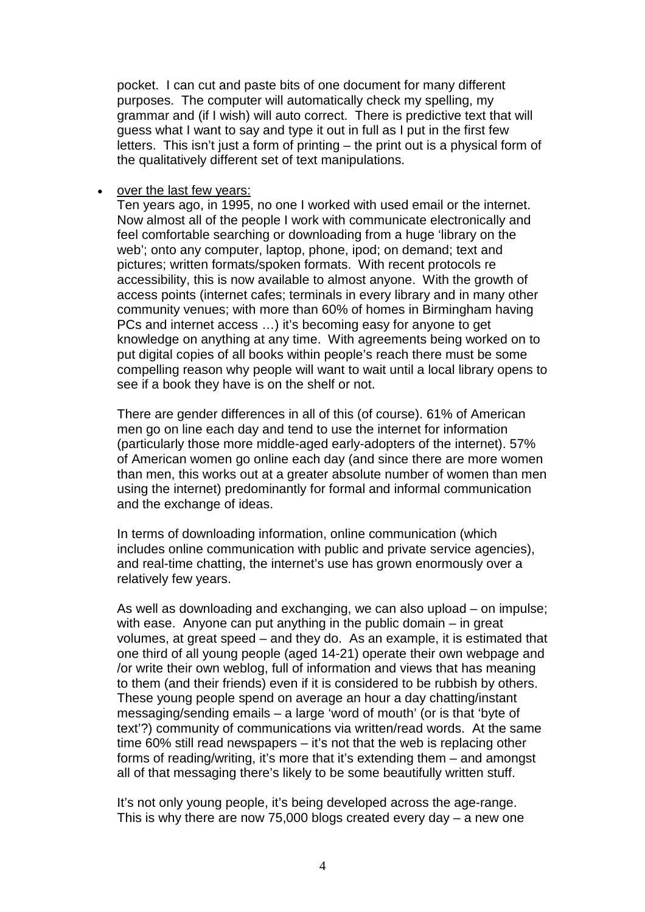pocket. I can cut and paste bits of one document for many different purposes. The computer will automatically check my spelling, my grammar and (if I wish) will auto correct. There is predictive text that will guess what I want to say and type it out in full as I put in the first few letters. This isn't just a form of printing – the print out is a physical form of the qualitatively different set of text manipulations.

over the last few years:

Ten years ago, in 1995, no one I worked with used email or the internet. Now almost all of the people I work with communicate electronically and feel comfortable searching or downloading from a huge 'library on the web'; onto any computer, laptop, phone, ipod; on demand; text and pictures; written formats/spoken formats. With recent protocols re accessibility, this is now available to almost anyone. With the growth of access points (internet cafes; terminals in every library and in many other community venues; with more than 60% of homes in Birmingham having PCs and internet access …) it's becoming easy for anyone to get knowledge on anything at any time. With agreements being worked on to put digital copies of all books within people's reach there must be some compelling reason why people will want to wait until a local library opens to see if a book they have is on the shelf or not.

There are gender differences in all of this (of course). 61% of American men go on line each day and tend to use the internet for information (particularly those more middle-aged early-adopters of the internet). 57% of American women go online each day (and since there are more women than men, this works out at a greater absolute number of women than men using the internet) predominantly for formal and informal communication and the exchange of ideas.

In terms of downloading information, online communication (which includes online communication with public and private service agencies), and real-time chatting, the internet's use has grown enormously over a relatively few years.

As well as downloading and exchanging, we can also upload – on impulse; with ease. Anyone can put anything in the public domain – in great volumes, at great speed – and they do. As an example, it is estimated that one third of all young people (aged 14-21) operate their own webpage and /or write their own weblog, full of information and views that has meaning to them (and their friends) even if it is considered to be rubbish by others. These young people spend on average an hour a day chatting/instant messaging/sending emails – a large 'word of mouth' (or is that 'byte of text'?) community of communications via written/read words. At the same time 60% still read newspapers – it's not that the web is replacing other forms of reading/writing, it's more that it's extending them – and amongst all of that messaging there's likely to be some beautifully written stuff.

It's not only young people, it's being developed across the age-range. This is why there are now 75,000 blogs created every day  $-$  a new one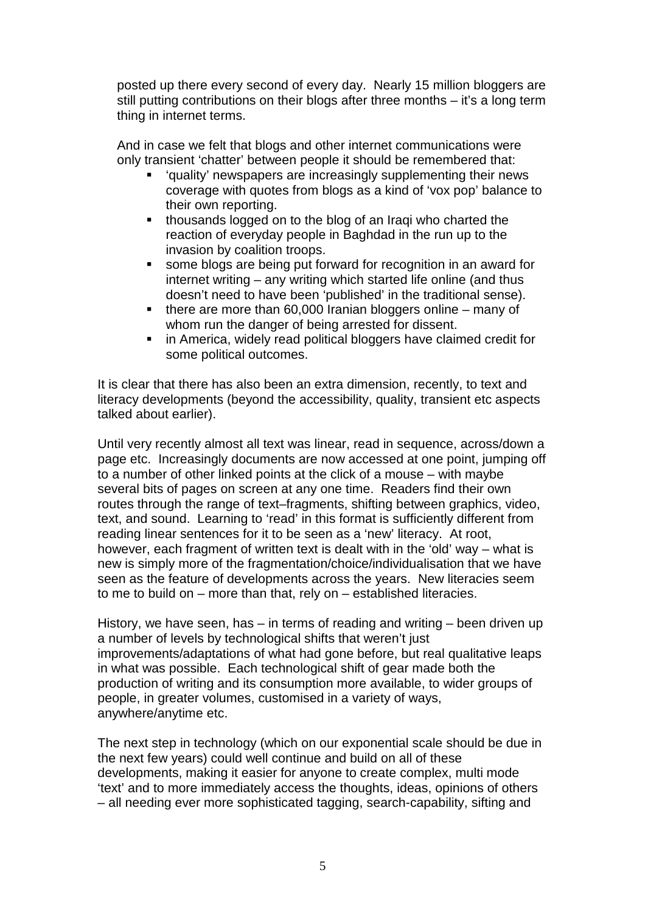posted up there every second of every day. Nearly 15 million bloggers are still putting contributions on their blogs after three months – it's a long term thing in internet terms.

And in case we felt that blogs and other internet communications were only transient 'chatter' between people it should be remembered that:

- 'quality' newspapers are increasingly supplementing their news coverage with quotes from blogs as a kind of 'vox pop' balance to their own reporting.
- **thousands logged on to the blog of an Iraqi who charted the** reaction of everyday people in Baghdad in the run up to the invasion by coalition troops.
- some blogs are being put forward for recognition in an award for internet writing – any writing which started life online (and thus doesn't need to have been 'published' in the traditional sense).
- $\blacksquare$  there are more than 60,000 Iranian bloggers online many of whom run the danger of being arrested for dissent.
- **EXEDER** in America, widely read political bloggers have claimed credit for some political outcomes.

It is clear that there has also been an extra dimension, recently, to text and literacy developments (beyond the accessibility, quality, transient etc aspects talked about earlier).

Until very recently almost all text was linear, read in sequence, across/down a page etc. Increasingly documents are now accessed at one point, jumping off to a number of other linked points at the click of a mouse – with maybe several bits of pages on screen at any one time. Readers find their own routes through the range of text–fragments, shifting between graphics, video, text, and sound. Learning to 'read' in this format is sufficiently different from reading linear sentences for it to be seen as a 'new' literacy. At root, however, each fragment of written text is dealt with in the 'old' way – what is new is simply more of the fragmentation/choice/individualisation that we have seen as the feature of developments across the years. New literacies seem to me to build on – more than that, rely on – established literacies.

History, we have seen, has – in terms of reading and writing – been driven up a number of levels by technological shifts that weren't just improvements/adaptations of what had gone before, but real qualitative leaps in what was possible. Each technological shift of gear made both the production of writing and its consumption more available, to wider groups of people, in greater volumes, customised in a variety of ways, anywhere/anytime etc.

The next step in technology (which on our exponential scale should be due in the next few years) could well continue and build on all of these developments, making it easier for anyone to create complex, multi mode 'text' and to more immediately access the thoughts, ideas, opinions of others – all needing ever more sophisticated tagging, search-capability, sifting and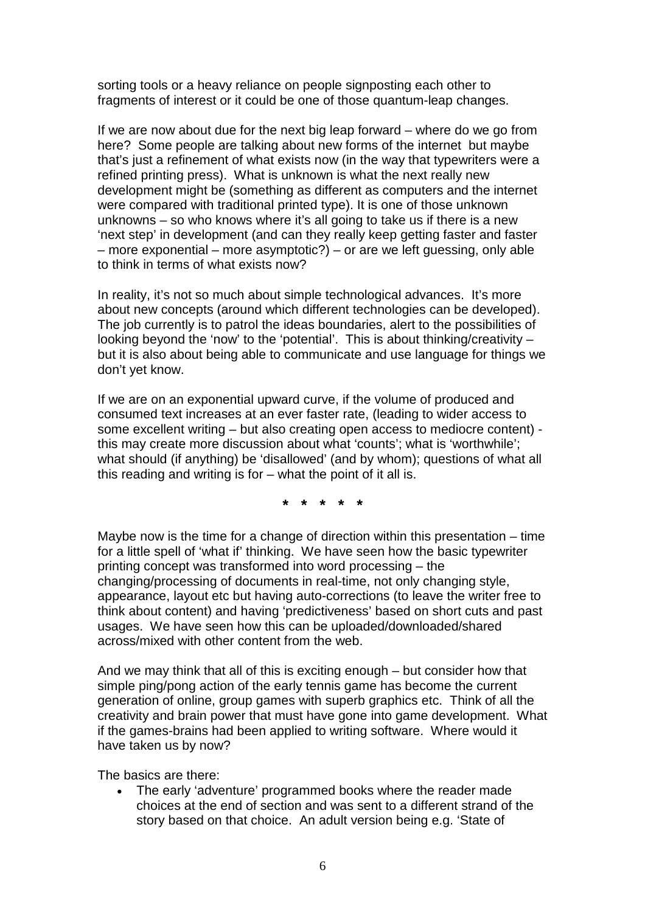sorting tools or a heavy reliance on people signposting each other to fragments of interest or it could be one of those quantum-leap changes.

If we are now about due for the next big leap forward – where do we go from here? Some people are talking about new forms of the internet but maybe that's just a refinement of what exists now (in the way that typewriters were a refined printing press). What is unknown is what the next really new development might be (something as different as computers and the internet were compared with traditional printed type). It is one of those unknown unknowns – so who knows where it's all going to take us if there is a new 'next step' in development (and can they really keep getting faster and faster – more exponential – more asymptotic?) – or are we left guessing, only able to think in terms of what exists now?

In reality, it's not so much about simple technological advances. It's more about new concepts (around which different technologies can be developed). The job currently is to patrol the ideas boundaries, alert to the possibilities of looking beyond the 'now' to the 'potential'. This is about thinking/creativity – but it is also about being able to communicate and use language for things we don't yet know.

If we are on an exponential upward curve, if the volume of produced and consumed text increases at an ever faster rate, (leading to wider access to some excellent writing – but also creating open access to mediocre content) this may create more discussion about what 'counts'; what is 'worthwhile'; what should (if anything) be 'disallowed' (and by whom); questions of what all this reading and writing is for – what the point of it all is.

**\* \* \* \* \***

Maybe now is the time for a change of direction within this presentation – time for a little spell of 'what if' thinking. We have seen how the basic typewriter printing concept was transformed into word processing – the changing/processing of documents in real-time, not only changing style, appearance, layout etc but having auto-corrections (to leave the writer free to think about content) and having 'predictiveness' based on short cuts and past usages. We have seen how this can be uploaded/downloaded/shared across/mixed with other content from the web.

And we may think that all of this is exciting enough – but consider how that simple ping/pong action of the early tennis game has become the current generation of online, group games with superb graphics etc. Think of all the creativity and brain power that must have gone into game development. What if the games-brains had been applied to writing software. Where would it have taken us by now?

The basics are there:

 The early 'adventure' programmed books where the reader made choices at the end of section and was sent to a different strand of the story based on that choice. An adult version being e.g. 'State of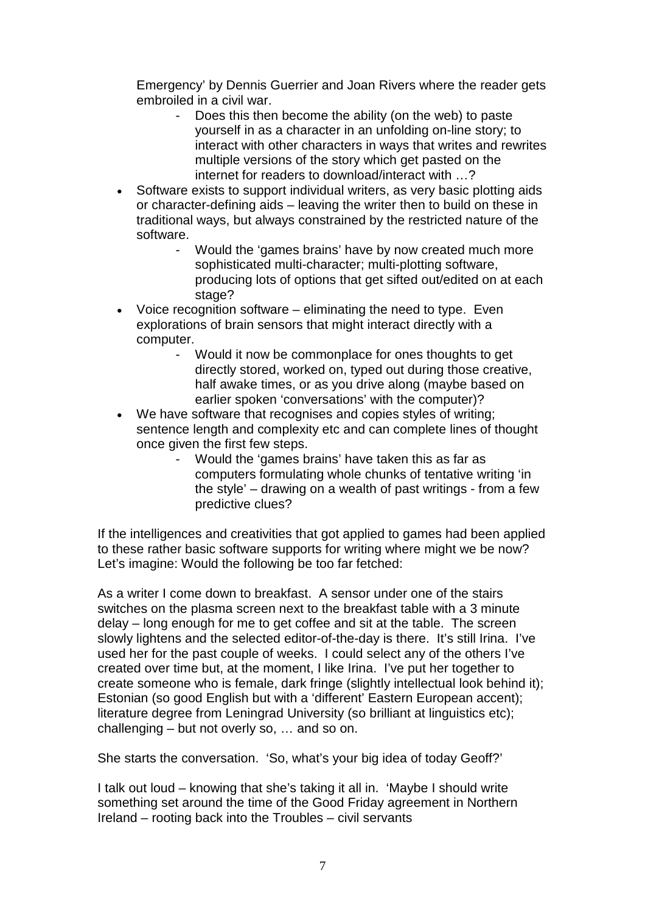Emergency' by Dennis Guerrier and Joan Rivers where the reader gets embroiled in a civil war.

- Does this then become the ability (on the web) to paste yourself in as a character in an unfolding on-line story; to interact with other characters in ways that writes and rewrites multiple versions of the story which get pasted on the internet for readers to download/interact with …?
- Software exists to support individual writers, as very basic plotting aids or character-defining aids – leaving the writer then to build on these in traditional ways, but always constrained by the restricted nature of the software.
	- Would the 'games brains' have by now created much more sophisticated multi-character; multi-plotting software, producing lots of options that get sifted out/edited on at each stage?
- $\bullet$  Voice recognition software eliminating the need to type. Even explorations of brain sensors that might interact directly with a computer.
	- Would it now be commonplace for ones thoughts to get directly stored, worked on, typed out during those creative, half awake times, or as you drive along (maybe based on earlier spoken 'conversations' with the computer)?
- We have software that recognises and copies styles of writing; sentence length and complexity etc and can complete lines of thought once given the first few steps.
	- Would the 'games brains' have taken this as far as computers formulating whole chunks of tentative writing 'in the style' – drawing on a wealth of past writings - from a few predictive clues?

If the intelligences and creativities that got applied to games had been applied to these rather basic software supports for writing where might we be now? Let's imagine: Would the following be too far fetched:

As a writer I come down to breakfast. A sensor under one of the stairs switches on the plasma screen next to the breakfast table with a 3 minute delay – long enough for me to get coffee and sit at the table. The screen slowly lightens and the selected editor-of-the-day is there. It's still Irina. I've used her for the past couple of weeks. I could select any of the others I've created over time but, at the moment, I like Irina. I've put her together to create someone who is female, dark fringe (slightly intellectual look behind it); Estonian (so good English but with a 'different' Eastern European accent); literature degree from Leningrad University (so brilliant at linguistics etc); challenging – but not overly so, … and so on.

She starts the conversation. 'So, what's your big idea of today Geoff?'

I talk out loud – knowing that she's taking it all in. 'Maybe I should write something set around the time of the Good Friday agreement in Northern Ireland – rooting back into the Troubles – civil servants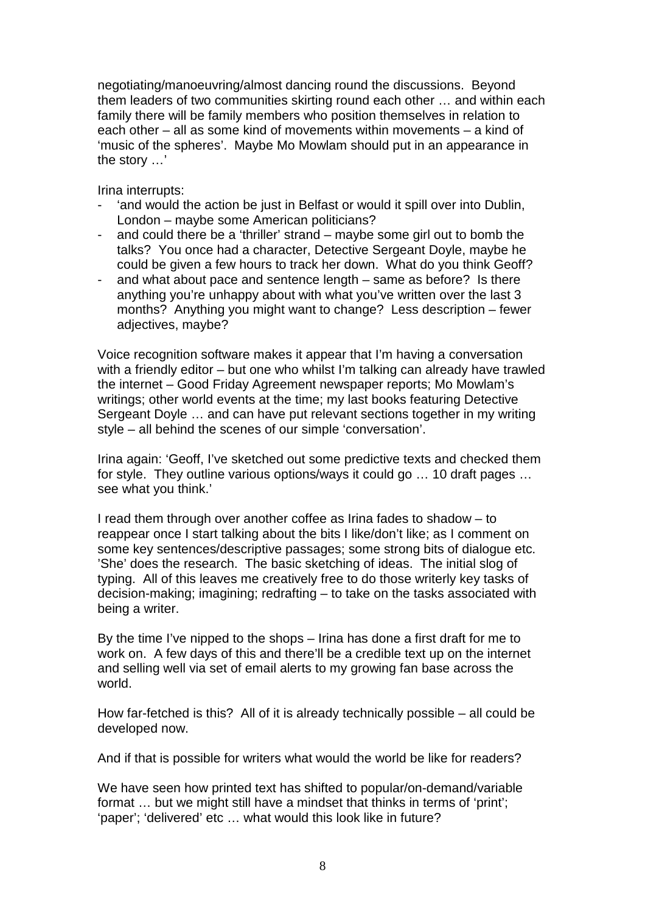negotiating/manoeuvring/almost dancing round the discussions. Beyond them leaders of two communities skirting round each other … and within each family there will be family members who position themselves in relation to each other – all as some kind of movements within movements – a kind of 'music of the spheres'. Maybe Mo Mowlam should put in an appearance in the story …'

Irina interrupts:

- 'and would the action be just in Belfast or would it spill over into Dublin, London – maybe some American politicians?
- and could there be a 'thriller' strand maybe some girl out to bomb the talks? You once had a character, Detective Sergeant Doyle, maybe he could be given a few hours to track her down. What do you think Geoff?
- and what about pace and sentence length same as before? Is there anything you're unhappy about with what you've written over the last 3 months? Anything you might want to change? Less description – fewer adjectives, maybe?

Voice recognition software makes it appear that I'm having a conversation with a friendly editor – but one who whilst I'm talking can already have trawled the internet – Good Friday Agreement newspaper reports; Mo Mowlam's writings; other world events at the time; my last books featuring Detective Sergeant Doyle … and can have put relevant sections together in my writing style – all behind the scenes of our simple 'conversation'.

Irina again: 'Geoff, I've sketched out some predictive texts and checked them for style. They outline various options/ways it could go … 10 draft pages … see what you think.'

I read them through over another coffee as Irina fades to shadow – to reappear once I start talking about the bits I like/don't like; as I comment on some key sentences/descriptive passages; some strong bits of dialogue etc. 'She' does the research. The basic sketching of ideas. The initial slog of typing. All of this leaves me creatively free to do those writerly key tasks of decision-making; imagining; redrafting – to take on the tasks associated with being a writer.

By the time I've nipped to the shops – Irina has done a first draft for me to work on. A few days of this and there'll be a credible text up on the internet and selling well via set of email alerts to my growing fan base across the world.

How far-fetched is this? All of it is already technically possible – all could be developed now.

And if that is possible for writers what would the world be like for readers?

We have seen how printed text has shifted to popular/on-demand/variable format ... but we might still have a mindset that thinks in terms of 'print'; 'paper'; 'delivered' etc … what would this look like in future?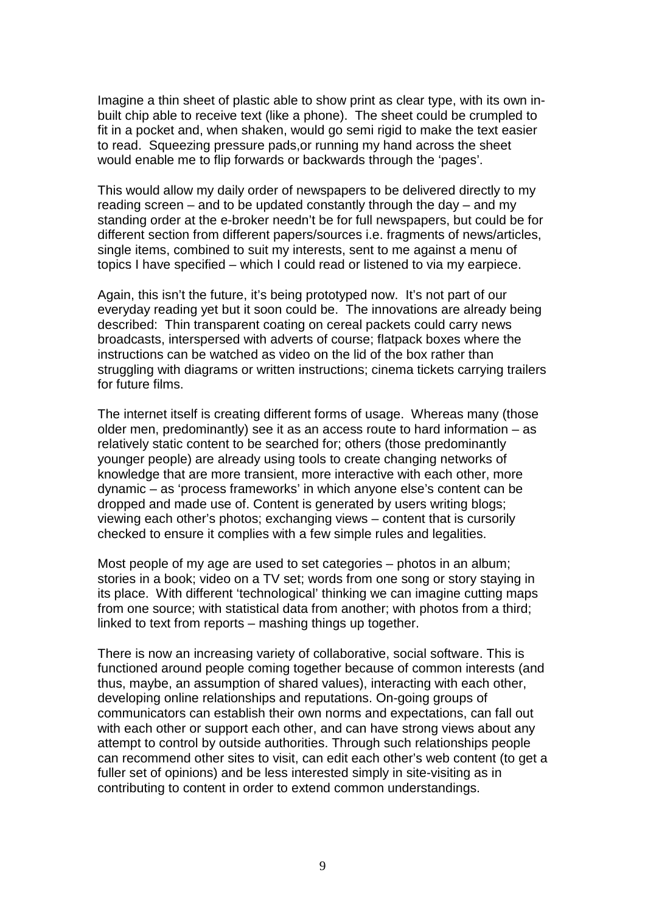Imagine a thin sheet of plastic able to show print as clear type, with its own inbuilt chip able to receive text (like a phone). The sheet could be crumpled to fit in a pocket and, when shaken, would go semi rigid to make the text easier to read. Squeezing pressure pads,or running my hand across the sheet would enable me to flip forwards or backwards through the 'pages'.

This would allow my daily order of newspapers to be delivered directly to my reading screen – and to be updated constantly through the day – and my standing order at the e-broker needn't be for full newspapers, but could be for different section from different papers/sources i.e. fragments of news/articles, single items, combined to suit my interests, sent to me against a menu of topics I have specified – which I could read or listened to via my earpiece.

Again, this isn't the future, it's being prototyped now. It's not part of our everyday reading yet but it soon could be. The innovations are already being described: Thin transparent coating on cereal packets could carry news broadcasts, interspersed with adverts of course; flatpack boxes where the instructions can be watched as video on the lid of the box rather than struggling with diagrams or written instructions; cinema tickets carrying trailers for future films.

The internet itself is creating different forms of usage. Whereas many (those older men, predominantly) see it as an access route to hard information – as relatively static content to be searched for; others (those predominantly younger people) are already using tools to create changing networks of knowledge that are more transient, more interactive with each other, more dynamic – as 'process frameworks' in which anyone else's content can be dropped and made use of. Content is generated by users writing blogs; viewing each other's photos; exchanging views – content that is cursorily checked to ensure it complies with a few simple rules and legalities.

Most people of my age are used to set categories – photos in an album; stories in a book; video on a TV set; words from one song or story staying in its place. With different 'technological' thinking we can imagine cutting maps from one source; with statistical data from another; with photos from a third; linked to text from reports – mashing things up together.

There is now an increasing variety of collaborative, social software. This is functioned around people coming together because of common interests (and thus, maybe, an assumption of shared values), interacting with each other, developing online relationships and reputations. On-going groups of communicators can establish their own norms and expectations, can fall out with each other or support each other, and can have strong views about any attempt to control by outside authorities. Through such relationships people can recommend other sites to visit, can edit each other's web content (to get a fuller set of opinions) and be less interested simply in site-visiting as in contributing to content in order to extend common understandings.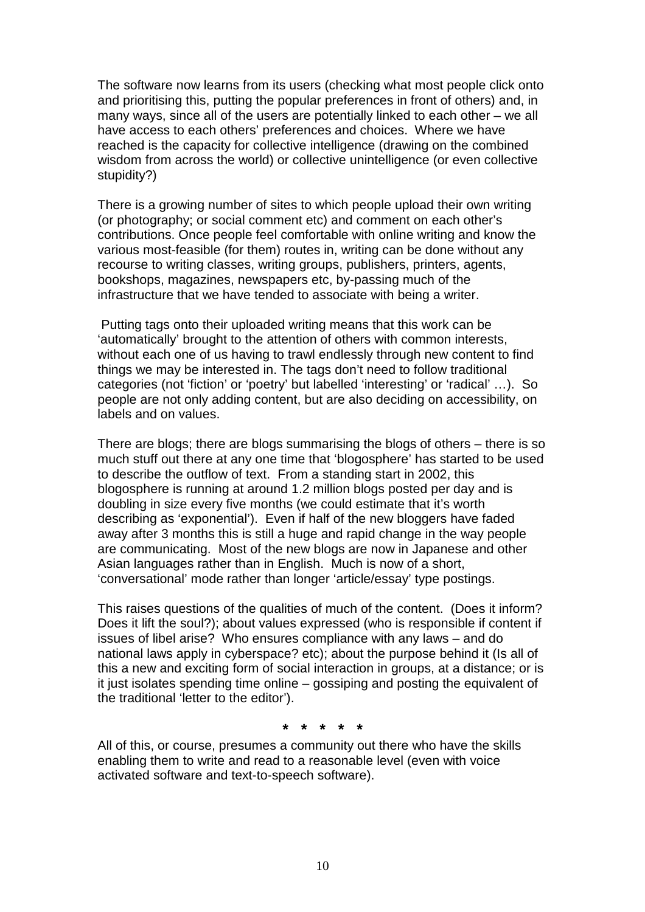The software now learns from its users (checking what most people click onto and prioritising this, putting the popular preferences in front of others) and, in many ways, since all of the users are potentially linked to each other – we all have access to each others' preferences and choices. Where we have reached is the capacity for collective intelligence (drawing on the combined wisdom from across the world) or collective unintelligence (or even collective stupidity?)

There is a growing number of sites to which people upload their own writing (or photography; or social comment etc) and comment on each other's contributions. Once people feel comfortable with online writing and know the various most-feasible (for them) routes in, writing can be done without any recourse to writing classes, writing groups, publishers, printers, agents, bookshops, magazines, newspapers etc, by-passing much of the infrastructure that we have tended to associate with being a writer.

Putting tags onto their uploaded writing means that this work can be 'automatically' brought to the attention of others with common interests, without each one of us having to trawl endlessly through new content to find things we may be interested in. The tags don't need to follow traditional categories (not 'fiction' or 'poetry' but labelled 'interesting' or 'radical' …). So people are not only adding content, but are also deciding on accessibility, on labels and on values.

There are blogs; there are blogs summarising the blogs of others – there is so much stuff out there at any one time that 'blogosphere' has started to be used to describe the outflow of text. From a standing start in 2002, this blogosphere is running at around 1.2 million blogs posted per day and is doubling in size every five months (we could estimate that it's worth describing as 'exponential'). Even if half of the new bloggers have faded away after 3 months this is still a huge and rapid change in the way people are communicating. Most of the new blogs are now in Japanese and other Asian languages rather than in English. Much is now of a short, 'conversational' mode rather than longer 'article/essay' type postings.

This raises questions of the qualities of much of the content. (Does it inform? Does it lift the soul?); about values expressed (who is responsible if content if issues of libel arise? Who ensures compliance with any laws – and do national laws apply in cyberspace? etc); about the purpose behind it (Is all of this a new and exciting form of social interaction in groups, at a distance; or is it just isolates spending time online – gossiping and posting the equivalent of the traditional 'letter to the editor').

**\* \* \* \* \***

All of this, or course, presumes a community out there who have the skills enabling them to write and read to a reasonable level (even with voice activated software and text-to-speech software).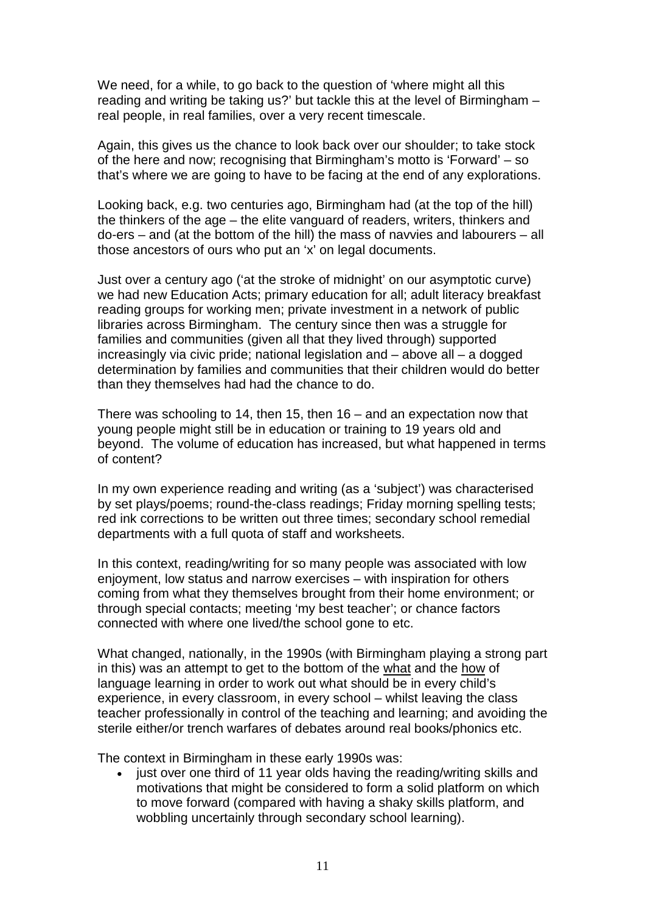We need, for a while, to go back to the question of 'where might all this reading and writing be taking us?' but tackle this at the level of Birmingham – real people, in real families, over a very recent timescale.

Again, this gives us the chance to look back over our shoulder; to take stock of the here and now; recognising that Birmingham's motto is 'Forward' – so that's where we are going to have to be facing at the end of any explorations.

Looking back, e.g. two centuries ago, Birmingham had (at the top of the hill) the thinkers of the age – the elite vanguard of readers, writers, thinkers and do-ers – and (at the bottom of the hill) the mass of navvies and labourers – all those ancestors of ours who put an 'x' on legal documents.

Just over a century ago ('at the stroke of midnight' on our asymptotic curve) we had new Education Acts; primary education for all; adult literacy breakfast reading groups for working men; private investment in a network of public libraries across Birmingham. The century since then was a struggle for families and communities (given all that they lived through) supported increasingly via civic pride; national legislation and – above all – a dogged determination by families and communities that their children would do better than they themselves had had the chance to do.

There was schooling to 14, then 15, then 16 – and an expectation now that young people might still be in education or training to 19 years old and beyond. The volume of education has increased, but what happened in terms of content?

In my own experience reading and writing (as a 'subject') was characterised by set plays/poems; round-the-class readings; Friday morning spelling tests; red ink corrections to be written out three times; secondary school remedial departments with a full quota of staff and worksheets.

In this context, reading/writing for so many people was associated with low enjoyment, low status and narrow exercises – with inspiration for others coming from what they themselves brought from their home environment; or through special contacts; meeting 'my best teacher'; or chance factors connected with where one lived/the school gone to etc.

What changed, nationally, in the 1990s (with Birmingham playing a strong part in this) was an attempt to get to the bottom of the what and the how of language learning in order to work out what should be in every child's experience, in every classroom, in every school – whilst leaving the class teacher professionally in control of the teaching and learning; and avoiding the sterile either/or trench warfares of debates around real books/phonics etc.

The context in Birmingham in these early 1990s was:

• just over one third of 11 year olds having the reading/writing skills and motivations that might be considered to form a solid platform on which to move forward (compared with having a shaky skills platform, and wobbling uncertainly through secondary school learning).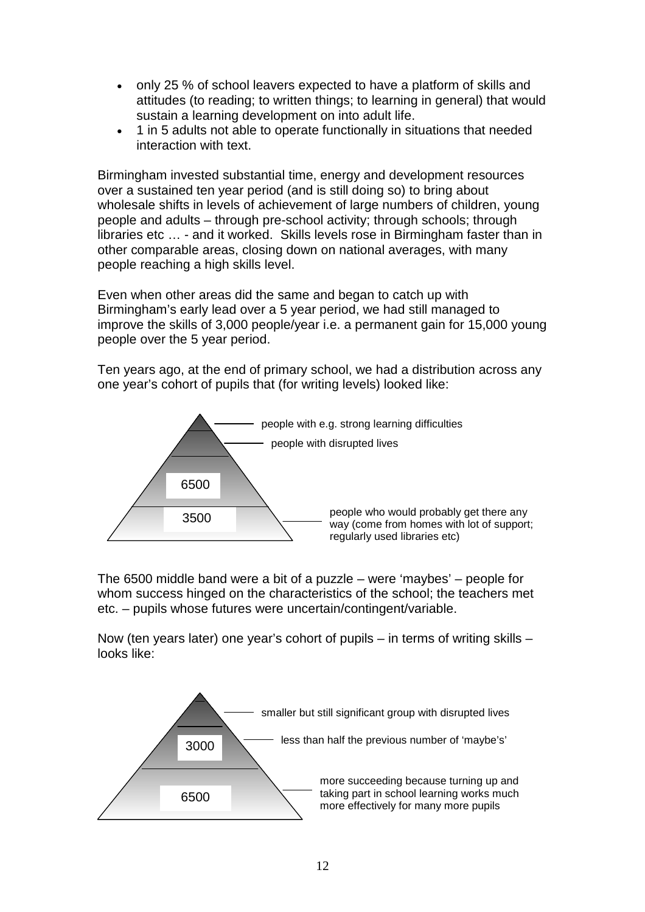- only 25 % of school leavers expected to have a platform of skills and attitudes (to reading; to written things; to learning in general) that would sustain a learning development on into adult life.
- 1 in 5 adults not able to operate functionally in situations that needed interaction with text.

Birmingham invested substantial time, energy and development resources over a sustained ten year period (and is still doing so) to bring about wholesale shifts in levels of achievement of large numbers of children, young people and adults – through pre-school activity; through schools; through libraries etc … - and it worked. Skills levels rose in Birmingham faster than in other comparable areas, closing down on national averages, with many people reaching a high skills level.

Even when other areas did the same and began to catch up with Birmingham's early lead over a 5 year period, we had still managed to improve the skills of 3,000 people/year i.e. a permanent gain for 15,000 young people over the 5 year period.

Ten years ago, at the end of primary school, we had a distribution across any one year's cohort of pupils that (for writing levels) looked like:



The 6500 middle band were a bit of a puzzle – were 'maybes' – people for whom success hinged on the characteristics of the school; the teachers met etc. – pupils whose futures were uncertain/contingent/variable.

Now (ten years later) one year's cohort of pupils – in terms of writing skills – looks like:

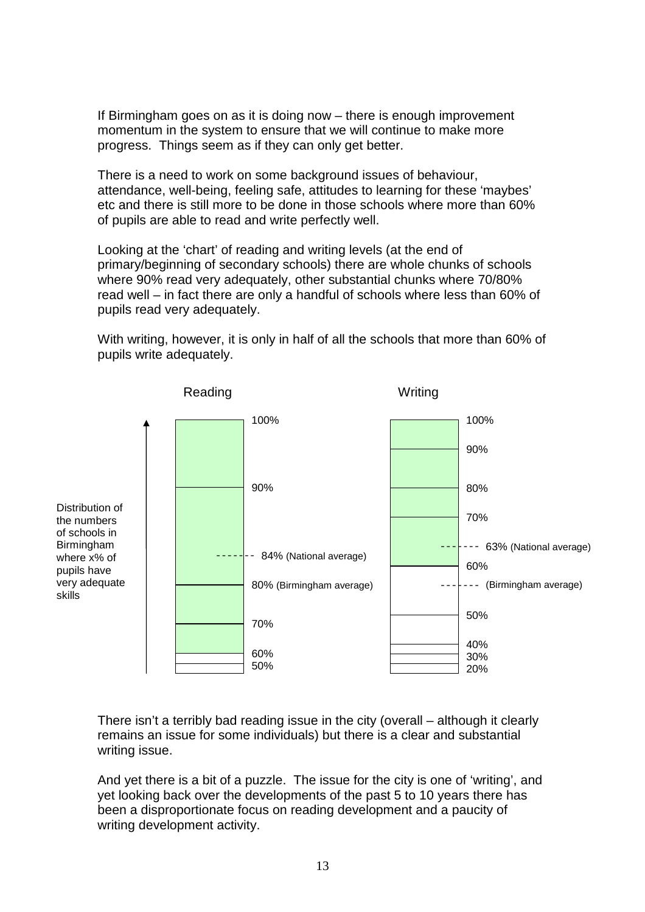If Birmingham goes on as it is doing now – there is enough improvement momentum in the system to ensure that we will continue to make more progress. Things seem as if they can only get better.

There is a need to work on some background issues of behaviour, attendance, well-being, feeling safe, attitudes to learning for these 'maybes' etc and there is still more to be done in those schools where more than 60% of pupils are able to read and write perfectly well.

Looking at the 'chart' of reading and writing levels (at the end of primary/beginning of secondary schools) there are whole chunks of schools where 90% read very adequately, other substantial chunks where 70/80% read well – in fact there are only a handful of schools where less than 60% of pupils read very adequately.

With writing, however, it is only in half of all the schools that more than 60% of pupils write adequately.



There isn't a terribly bad reading issue in the city (overall – although it clearly remains an issue for some individuals) but there is a clear and substantial writing issue.

And yet there is a bit of a puzzle. The issue for the city is one of 'writing', and yet looking back over the developments of the past 5 to 10 years there has been a disproportionate focus on reading development and a paucity of writing development activity.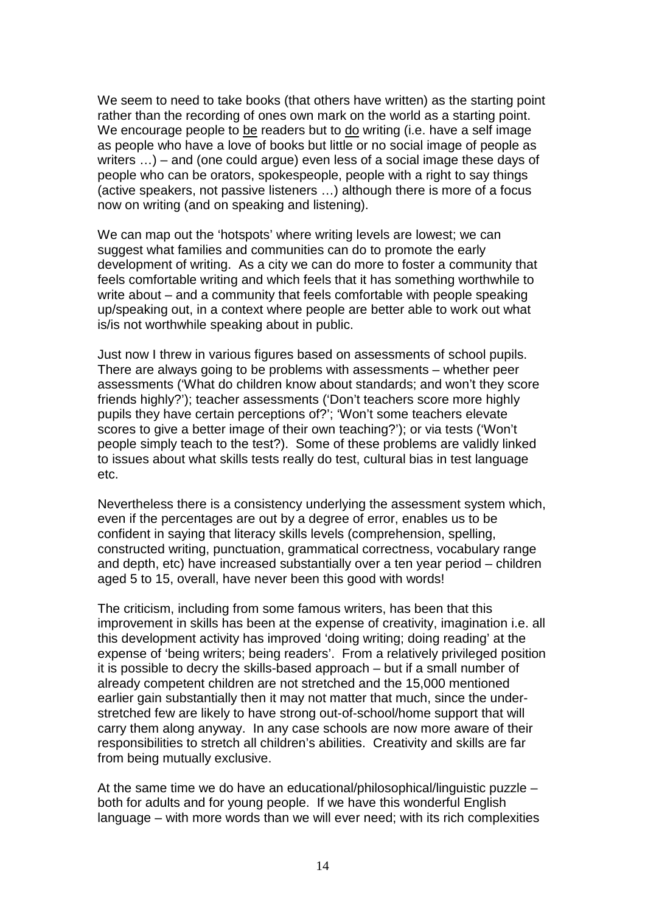We seem to need to take books (that others have written) as the starting point rather than the recording of ones own mark on the world as a starting point. We encourage people to be readers but to do writing (i.e. have a self image as people who have a love of books but little or no social image of people as writers …) – and (one could argue) even less of a social image these days of people who can be orators, spokespeople, people with a right to say things (active speakers, not passive listeners …) although there is more of a focus now on writing (and on speaking and listening).

We can map out the 'hotspots' where writing levels are lowest; we can suggest what families and communities can do to promote the early development of writing. As a city we can do more to foster a community that feels comfortable writing and which feels that it has something worthwhile to write about – and a community that feels comfortable with people speaking up/speaking out, in a context where people are better able to work out what is/is not worthwhile speaking about in public.

Just now I threw in various figures based on assessments of school pupils. There are always going to be problems with assessments – whether peer assessments ('What do children know about standards; and won't they score friends highly?'); teacher assessments ('Don't teachers score more highly pupils they have certain perceptions of?'; 'Won't some teachers elevate scores to give a better image of their own teaching?'); or via tests ('Won't people simply teach to the test?). Some of these problems are validly linked to issues about what skills tests really do test, cultural bias in test language etc.

Nevertheless there is a consistency underlying the assessment system which, even if the percentages are out by a degree of error, enables us to be confident in saying that literacy skills levels (comprehension, spelling, constructed writing, punctuation, grammatical correctness, vocabulary range and depth, etc) have increased substantially over a ten year period – children aged 5 to 15, overall, have never been this good with words!

The criticism, including from some famous writers, has been that this improvement in skills has been at the expense of creativity, imagination i.e. all this development activity has improved 'doing writing; doing reading' at the expense of 'being writers; being readers'. From a relatively privileged position it is possible to decry the skills-based approach – but if a small number of already competent children are not stretched and the 15,000 mentioned earlier gain substantially then it may not matter that much, since the understretched few are likely to have strong out-of-school/home support that will carry them along anyway. In any case schools are now more aware of their responsibilities to stretch all children's abilities. Creativity and skills are far from being mutually exclusive.

At the same time we do have an educational/philosophical/linguistic puzzle – both for adults and for young people. If we have this wonderful English language – with more words than we will ever need; with its rich complexities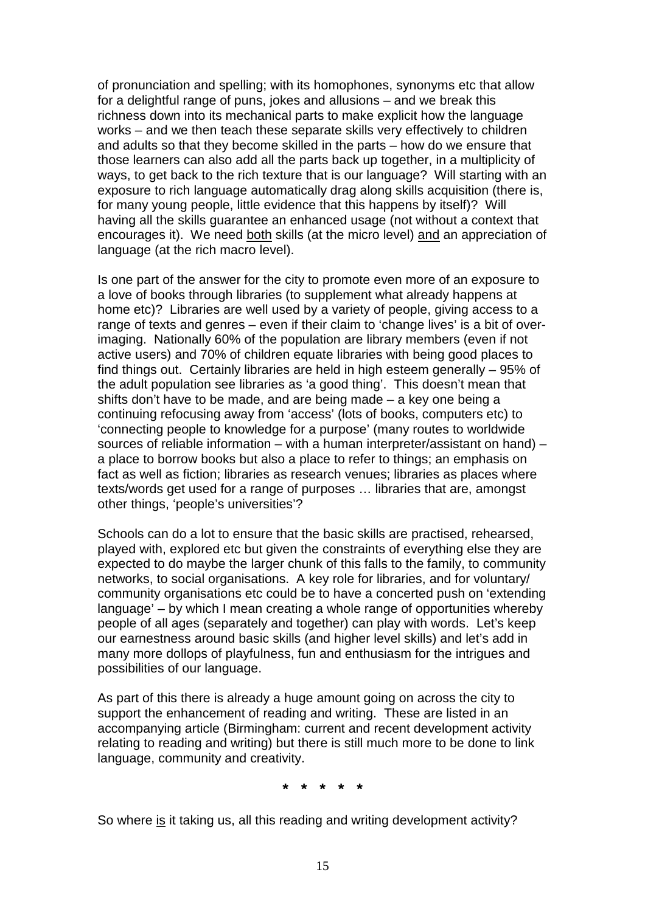of pronunciation and spelling; with its homophones, synonyms etc that allow for a delightful range of puns, jokes and allusions – and we break this richness down into its mechanical parts to make explicit how the language works – and we then teach these separate skills very effectively to children and adults so that they become skilled in the parts – how do we ensure that those learners can also add all the parts back up together, in a multiplicity of ways, to get back to the rich texture that is our language? Will starting with an exposure to rich language automatically drag along skills acquisition (there is, for many young people, little evidence that this happens by itself)? Will having all the skills guarantee an enhanced usage (not without a context that encourages it). We need both skills (at the micro level) and an appreciation of language (at the rich macro level).

Is one part of the answer for the city to promote even more of an exposure to a love of books through libraries (to supplement what already happens at home etc)? Libraries are well used by a variety of people, giving access to a range of texts and genres – even if their claim to 'change lives' is a bit of overimaging. Nationally 60% of the population are library members (even if not active users) and 70% of children equate libraries with being good places to find things out. Certainly libraries are held in high esteem generally – 95% of the adult population see libraries as 'a good thing'. This doesn't mean that shifts don't have to be made, and are being made – a key one being a continuing refocusing away from 'access' (lots of books, computers etc) to 'connecting people to knowledge for a purpose' (many routes to worldwide sources of reliable information – with a human interpreter/assistant on hand) – a place to borrow books but also a place to refer to things; an emphasis on fact as well as fiction; libraries as research venues; libraries as places where texts/words get used for a range of purposes … libraries that are, amongst other things, 'people's universities'?

Schools can do a lot to ensure that the basic skills are practised, rehearsed, played with, explored etc but given the constraints of everything else they are expected to do maybe the larger chunk of this falls to the family, to community networks, to social organisations. A key role for libraries, and for voluntary/ community organisations etc could be to have a concerted push on 'extending language' – by which I mean creating a whole range of opportunities whereby people of all ages (separately and together) can play with words. Let's keep our earnestness around basic skills (and higher level skills) and let's add in many more dollops of playfulness, fun and enthusiasm for the intrigues and possibilities of our language.

As part of this there is already a huge amount going on across the city to support the enhancement of reading and writing. These are listed in an accompanying article (Birmingham: current and recent development activity relating to reading and writing) but there is still much more to be done to link language, community and creativity.

**\* \* \* \* \***

So where is it taking us, all this reading and writing development activity?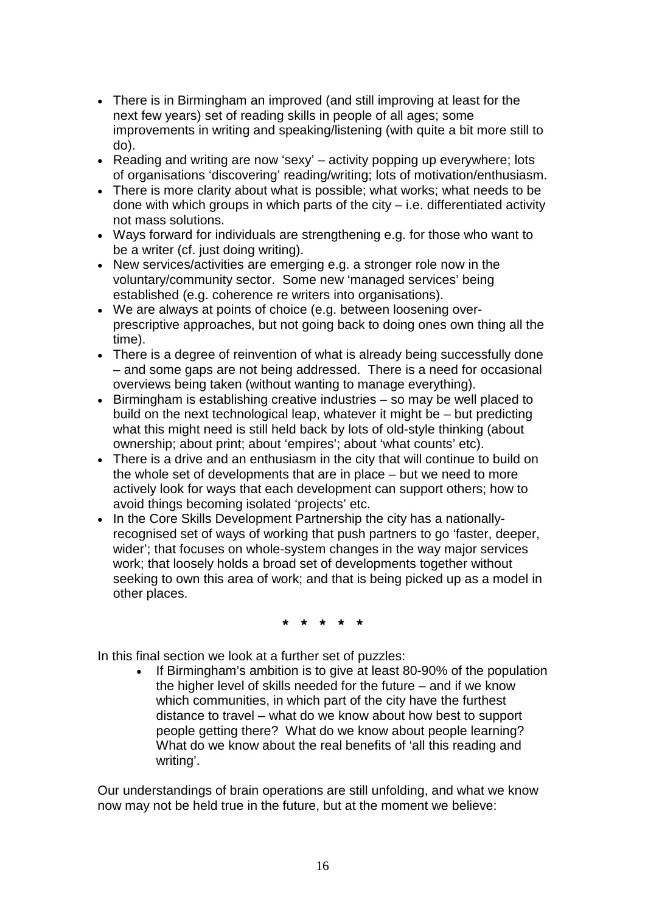- There is in Birmingham an improved (and still improving at least for the next few years) set of reading skills in people of all ages; some improvements in writing and speaking/listening (with quite a bit more still to do).
- Reading and writing are now 'sexy'  $-$  activity popping up everywhere; lots of organisations 'discovering' reading/writing; lots of motivation/enthusiasm.
- There is more clarity about what is possible; what works; what needs to be done with which groups in which parts of the city  $-$  i.e. differentiated activity not mass solutions.
- Ways forward for individuals are strengthening e.g. for those who want to be a writer (cf. just doing writing).
- New services/activities are emerging e.g. a stronger role now in the voluntary/community sector. Some new 'managed services' being established (e.g. coherence re writers into organisations).
- We are always at points of choice (e.g. between loosening overprescriptive approaches, but not going back to doing ones own thing all the time).
- There is a degree of reinvention of what is already being successfully done – and some gaps are not being addressed. There is a need for occasional overviews being taken (without wanting to manage everything).
- Birmingham is establishing creative industries so may be well placed to build on the next technological leap, whatever it might be – but predicting what this might need is still held back by lots of old-style thinking (about ownership; about print; about 'empires'; about 'what counts' etc).
- There is a drive and an enthusiasm in the city that will continue to build on the whole set of developments that are in place – but we need to more actively look for ways that each development can support others; how to avoid things becoming isolated 'projects' etc.
- In the Core Skills Development Partnership the city has a nationallyrecognised set of ways of working that push partners to go 'faster, deeper, wider'; that focuses on whole-system changes in the way major services work; that loosely holds a broad set of developments together without seeking to own this area of work; and that is being picked up as a model in other places.

**\* \* \* \* \***

In this final section we look at a further set of puzzles:

 If Birmingham's ambition is to give at least 80-90% of the population the higher level of skills needed for the future – and if we know which communities, in which part of the city have the furthest distance to travel – what do we know about how best to support people getting there? What do we know about people learning? What do we know about the real benefits of 'all this reading and writing'.

Our understandings of brain operations are still unfolding, and what we know now may not be held true in the future, but at the moment we believe: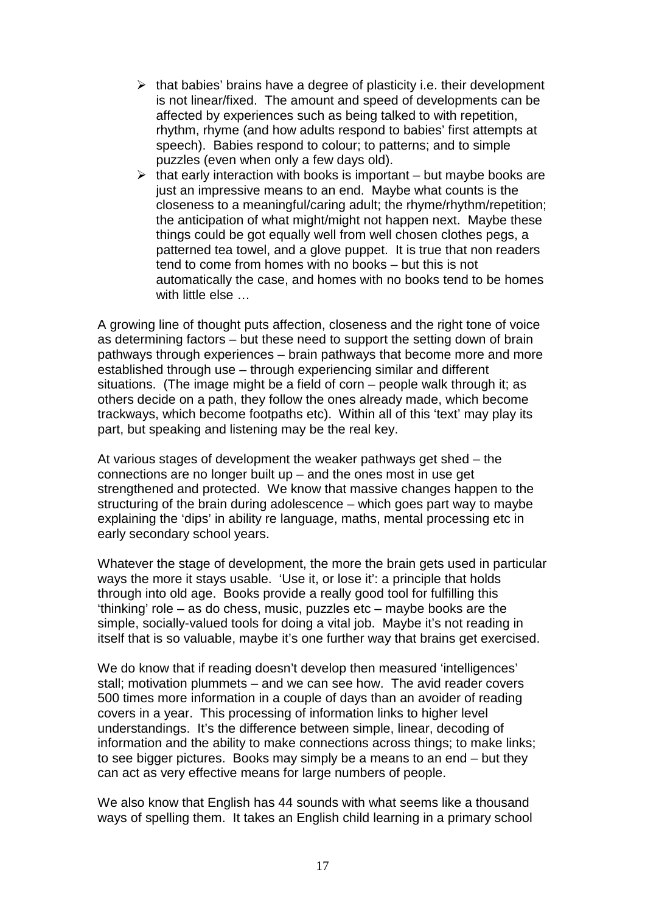- $\triangleright$  that babies' brains have a degree of plasticity i.e. their development is not linear/fixed. The amount and speed of developments can be affected by experiences such as being talked to with repetition, rhythm, rhyme (and how adults respond to babies' first attempts at speech). Babies respond to colour; to patterns; and to simple puzzles (even when only a few days old).
- $\triangleright$  that early interaction with books is important but maybe books are just an impressive means to an end. Maybe what counts is the closeness to a meaningful/caring adult; the rhyme/rhythm/repetition; the anticipation of what might/might not happen next. Maybe these things could be got equally well from well chosen clothes pegs, a patterned tea towel, and a glove puppet. It is true that non readers tend to come from homes with no books – but this is not automatically the case, and homes with no books tend to be homes with little else ...

A growing line of thought puts affection, closeness and the right tone of voice as determining factors – but these need to support the setting down of brain pathways through experiences – brain pathways that become more and more established through use – through experiencing similar and different situations. (The image might be a field of corn – people walk through it; as others decide on a path, they follow the ones already made, which become trackways, which become footpaths etc). Within all of this 'text' may play its part, but speaking and listening may be the real key.

At various stages of development the weaker pathways get shed – the connections are no longer built up – and the ones most in use get strengthened and protected. We know that massive changes happen to the structuring of the brain during adolescence – which goes part way to maybe explaining the 'dips' in ability re language, maths, mental processing etc in early secondary school years.

Whatever the stage of development, the more the brain gets used in particular ways the more it stays usable. 'Use it, or lose it': a principle that holds through into old age. Books provide a really good tool for fulfilling this 'thinking' role – as do chess, music, puzzles etc – maybe books are the simple, socially-valued tools for doing a vital job. Maybe it's not reading in itself that is so valuable, maybe it's one further way that brains get exercised.

We do know that if reading doesn't develop then measured 'intelligences' stall; motivation plummets – and we can see how. The avid reader covers 500 times more information in a couple of days than an avoider of reading covers in a year. This processing of information links to higher level understandings. It's the difference between simple, linear, decoding of information and the ability to make connections across things; to make links; to see bigger pictures. Books may simply be a means to an end – but they can act as very effective means for large numbers of people.

We also know that English has 44 sounds with what seems like a thousand ways of spelling them. It takes an English child learning in a primary school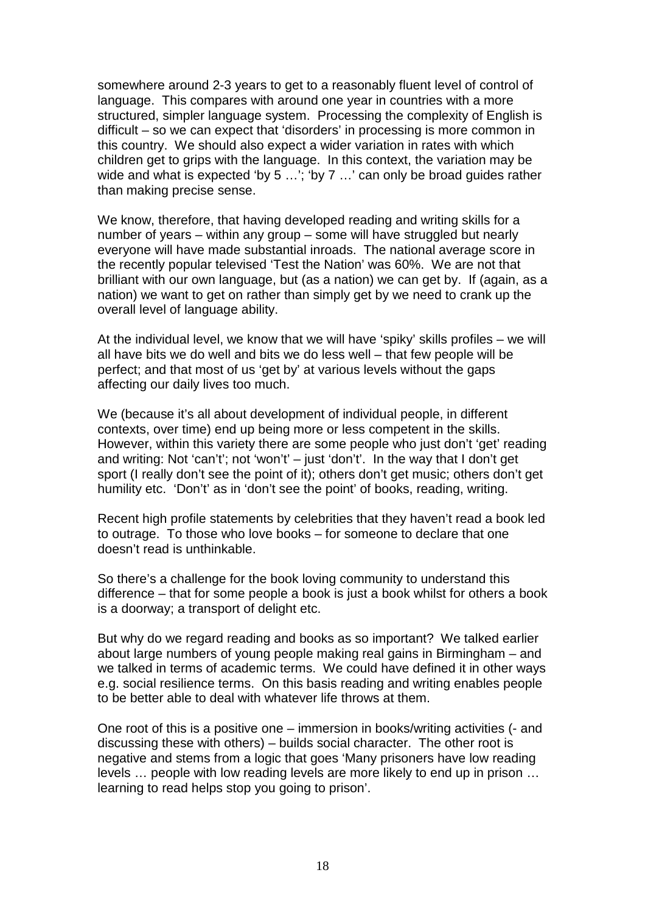somewhere around 2-3 years to get to a reasonably fluent level of control of language. This compares with around one year in countries with a more structured, simpler language system. Processing the complexity of English is difficult – so we can expect that 'disorders' in processing is more common in this country. We should also expect a wider variation in rates with which children get to grips with the language. In this context, the variation may be wide and what is expected 'by 5 ...'; 'by 7 ...' can only be broad guides rather than making precise sense.

We know, therefore, that having developed reading and writing skills for a number of years – within any group – some will have struggled but nearly everyone will have made substantial inroads. The national average score in the recently popular televised 'Test the Nation' was 60%. We are not that brilliant with our own language, but (as a nation) we can get by. If (again, as a nation) we want to get on rather than simply get by we need to crank up the overall level of language ability.

At the individual level, we know that we will have 'spiky' skills profiles – we will all have bits we do well and bits we do less well – that few people will be perfect; and that most of us 'get by' at various levels without the gaps affecting our daily lives too much.

We (because it's all about development of individual people, in different contexts, over time) end up being more or less competent in the skills. However, within this variety there are some people who just don't 'get' reading and writing: Not 'can't'; not 'won't' – just 'don't'. In the way that I don't get sport (I really don't see the point of it); others don't get music; others don't get humility etc. 'Don't' as in 'don't see the point' of books, reading, writing.

Recent high profile statements by celebrities that they haven't read a book led to outrage. To those who love books – for someone to declare that one doesn't read is unthinkable.

So there's a challenge for the book loving community to understand this difference – that for some people a book is just a book whilst for others a book is a doorway; a transport of delight etc.

But why do we regard reading and books as so important? We talked earlier about large numbers of young people making real gains in Birmingham – and we talked in terms of academic terms. We could have defined it in other ways e.g. social resilience terms. On this basis reading and writing enables people to be better able to deal with whatever life throws at them.

One root of this is a positive one – immersion in books/writing activities (- and discussing these with others) – builds social character. The other root is negative and stems from a logic that goes 'Many prisoners have low reading levels … people with low reading levels are more likely to end up in prison … learning to read helps stop you going to prison'.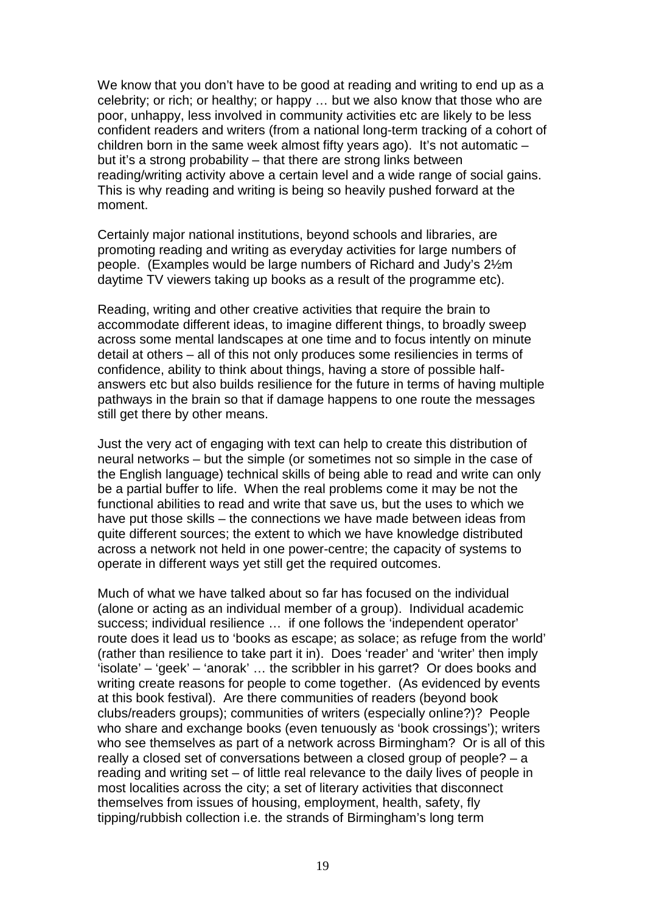We know that you don't have to be good at reading and writing to end up as a celebrity; or rich; or healthy; or happy … but we also know that those who are poor, unhappy, less involved in community activities etc are likely to be less confident readers and writers (from a national long-term tracking of a cohort of children born in the same week almost fifty years ago). It's not automatic  $$ but it's a strong probability – that there are strong links between reading/writing activity above a certain level and a wide range of social gains. This is why reading and writing is being so heavily pushed forward at the moment.

Certainly major national institutions, beyond schools and libraries, are promoting reading and writing as everyday activities for large numbers of people. (Examples would be large numbers of Richard and Judy's 2½m daytime TV viewers taking up books as a result of the programme etc).

Reading, writing and other creative activities that require the brain to accommodate different ideas, to imagine different things, to broadly sweep across some mental landscapes at one time and to focus intently on minute detail at others – all of this not only produces some resiliencies in terms of confidence, ability to think about things, having a store of possible halfanswers etc but also builds resilience for the future in terms of having multiple pathways in the brain so that if damage happens to one route the messages still get there by other means.

Just the very act of engaging with text can help to create this distribution of neural networks – but the simple (or sometimes not so simple in the case of the English language) technical skills of being able to read and write can only be a partial buffer to life. When the real problems come it may be not the functional abilities to read and write that save us, but the uses to which we have put those skills – the connections we have made between ideas from quite different sources; the extent to which we have knowledge distributed across a network not held in one power-centre; the capacity of systems to operate in different ways yet still get the required outcomes.

Much of what we have talked about so far has focused on the individual (alone or acting as an individual member of a group). Individual academic success; individual resilience … if one follows the 'independent operator' route does it lead us to 'books as escape; as solace; as refuge from the world' (rather than resilience to take part it in). Does 'reader' and 'writer' then imply 'isolate' – 'geek' – 'anorak' … the scribbler in his garret? Or does books and writing create reasons for people to come together. (As evidenced by events at this book festival). Are there communities of readers (beyond book clubs/readers groups); communities of writers (especially online?)? People who share and exchange books (even tenuously as 'book crossings'); writers who see themselves as part of a network across Birmingham? Or is all of this really a closed set of conversations between a closed group of people? – a reading and writing set – of little real relevance to the daily lives of people in most localities across the city; a set of literary activities that disconnect themselves from issues of housing, employment, health, safety, fly tipping/rubbish collection i.e. the strands of Birmingham's long term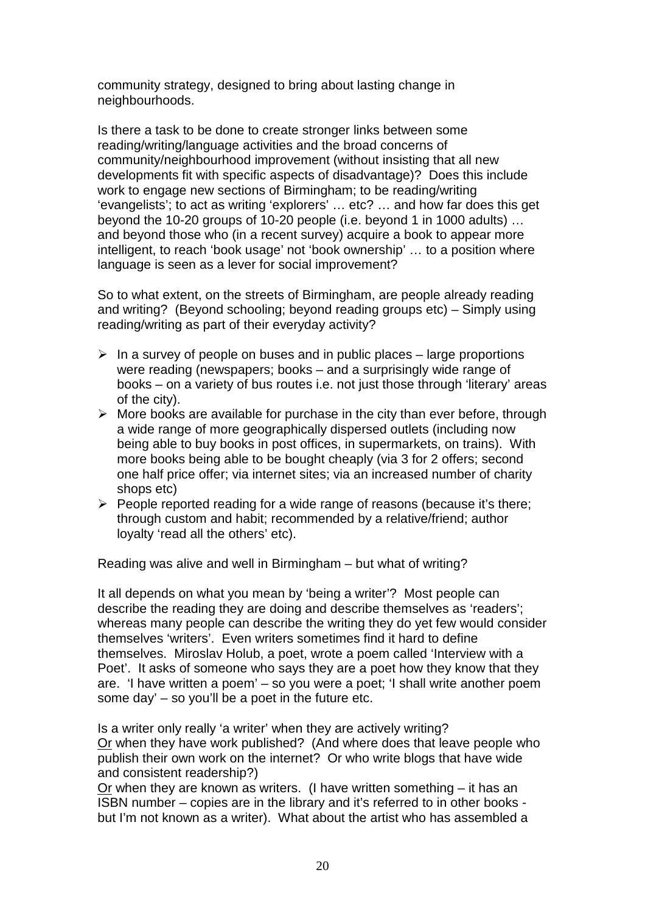community strategy, designed to bring about lasting change in neighbourhoods.

Is there a task to be done to create stronger links between some reading/writing/language activities and the broad concerns of community/neighbourhood improvement (without insisting that all new developments fit with specific aspects of disadvantage)? Does this include work to engage new sections of Birmingham; to be reading/writing 'evangelists'; to act as writing 'explorers' … etc? … and how far does this get beyond the 10-20 groups of 10-20 people (i.e. beyond 1 in 1000 adults) … and beyond those who (in a recent survey) acquire a book to appear more intelligent, to reach 'book usage' not 'book ownership' … to a position where language is seen as a lever for social improvement?

So to what extent, on the streets of Birmingham, are people already reading and writing? (Beyond schooling; beyond reading groups etc) – Simply using reading/writing as part of their everyday activity?

- $\triangleright$  In a survey of people on buses and in public places large proportions were reading (newspapers; books – and a surprisingly wide range of books – on a variety of bus routes i.e. not just those through 'literary' areas of the city).
- $\triangleright$  More books are available for purchase in the city than ever before, through a wide range of more geographically dispersed outlets (including now being able to buy books in post offices, in supermarkets, on trains). With more books being able to be bought cheaply (via 3 for 2 offers; second one half price offer; via internet sites; via an increased number of charity shops etc)
- $\triangleright$  People reported reading for a wide range of reasons (because it's there; through custom and habit; recommended by a relative/friend; author loyalty 'read all the others' etc).

Reading was alive and well in Birmingham – but what of writing?

It all depends on what you mean by 'being a writer'? Most people can describe the reading they are doing and describe themselves as 'readers'; whereas many people can describe the writing they do yet few would consider themselves 'writers'. Even writers sometimes find it hard to define themselves. Miroslav Holub, a poet, wrote a poem called 'Interview with a Poet'. It asks of someone who says they are a poet how they know that they are. 'I have written a poem' – so you were a poet; 'I shall write another poem some day' – so you'll be a poet in the future etc.

Is a writer only really 'a writer' when they are actively writing? Or when they have work published? (And where does that leave people who publish their own work on the internet? Or who write blogs that have wide and consistent readership?)

Or when they are known as writers. (I have written something – it has an ISBN number – copies are in the library and it's referred to in other books but I'm not known as a writer). What about the artist who has assembled a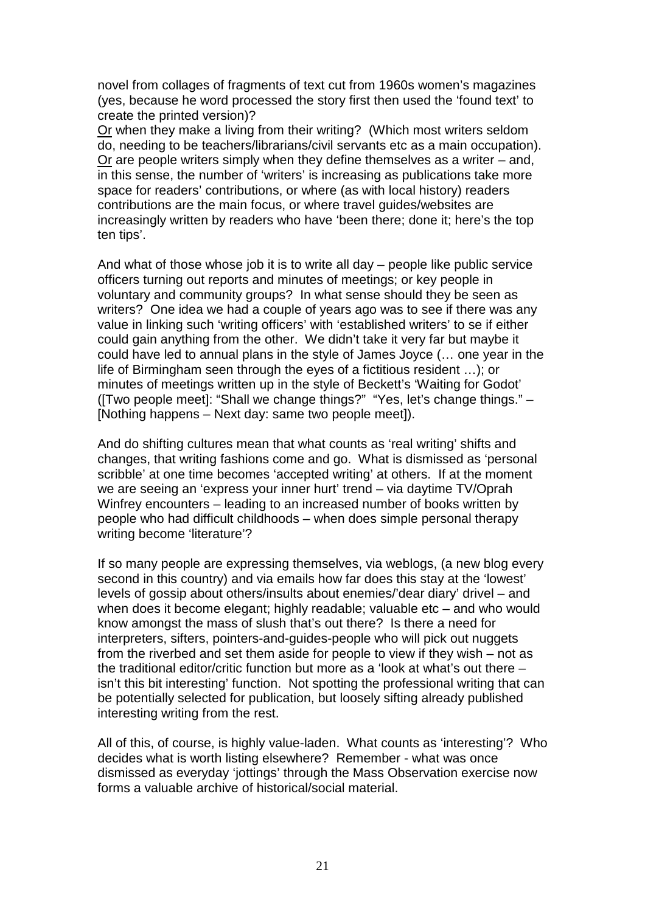novel from collages of fragments of text cut from 1960s women's magazines (yes, because he word processed the story first then used the 'found text' to create the printed version)?

Or when they make a living from their writing? (Which most writers seldom do, needing to be teachers/librarians/civil servants etc as a main occupation). Or are people writers simply when they define themselves as a writer – and, in this sense, the number of 'writers' is increasing as publications take more space for readers' contributions, or where (as with local history) readers contributions are the main focus, or where travel guides/websites are increasingly written by readers who have 'been there; done it; here's the top ten tips'.

And what of those whose job it is to write all day – people like public service officers turning out reports and minutes of meetings; or key people in voluntary and community groups? In what sense should they be seen as writers? One idea we had a couple of years ago was to see if there was any value in linking such 'writing officers' with 'established writers' to se if either could gain anything from the other. We didn't take it very far but maybe it could have led to annual plans in the style of James Joyce (… one year in the life of Birmingham seen through the eyes of a fictitious resident …); or minutes of meetings written up in the style of Beckett's 'Waiting for Godot' ([Two people meet]: "Shall we change things?" "Yes, let's change things." – [Nothing happens – Next day: same two people meet]).

And do shifting cultures mean that what counts as 'real writing' shifts and changes, that writing fashions come and go. What is dismissed as 'personal scribble' at one time becomes 'accepted writing' at others. If at the moment we are seeing an 'express your inner hurt' trend – via daytime TV/Oprah Winfrey encounters – leading to an increased number of books written by people who had difficult childhoods – when does simple personal therapy writing become 'literature'?

If so many people are expressing themselves, via weblogs, (a new blog every second in this country) and via emails how far does this stay at the 'lowest' levels of gossip about others/insults about enemies/'dear diary' drivel – and when does it become elegant; highly readable; valuable etc – and who would know amongst the mass of slush that's out there? Is there a need for interpreters, sifters, pointers-and-guides-people who will pick out nuggets from the riverbed and set them aside for people to view if they wish – not as the traditional editor/critic function but more as a 'look at what's out there – isn't this bit interesting' function. Not spotting the professional writing that can be potentially selected for publication, but loosely sifting already published interesting writing from the rest.

All of this, of course, is highly value-laden. What counts as 'interesting'? Who decides what is worth listing elsewhere? Remember - what was once dismissed as everyday 'jottings' through the Mass Observation exercise now forms a valuable archive of historical/social material.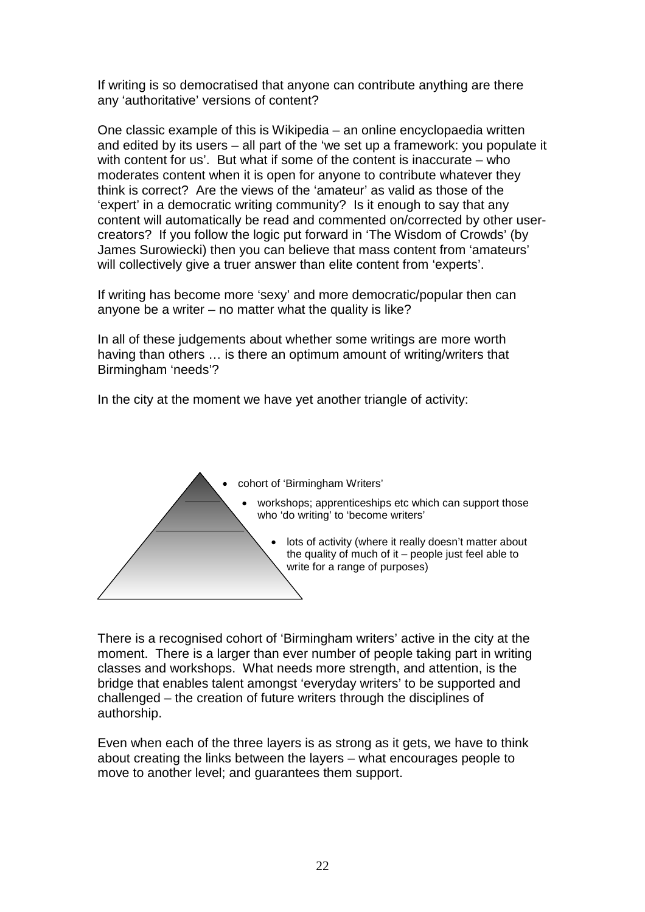If writing is so democratised that anyone can contribute anything are there any 'authoritative' versions of content?

One classic example of this is Wikipedia – an online encyclopaedia written and edited by its users – all part of the 'we set up a framework: you populate it with content for us'. But what if some of the content is inaccurate – who moderates content when it is open for anyone to contribute whatever they think is correct? Are the views of the 'amateur' as valid as those of the 'expert' in a democratic writing community? Is it enough to say that any content will automatically be read and commented on/corrected by other usercreators? If you follow the logic put forward in 'The Wisdom of Crowds' (by James Surowiecki) then you can believe that mass content from 'amateurs' will collectively give a truer answer than elite content from 'experts'.

If writing has become more 'sexy' and more democratic/popular then can anyone be a writer – no matter what the quality is like?

In all of these judgements about whether some writings are more worth having than others … is there an optimum amount of writing/writers that Birmingham 'needs'?

In the city at the moment we have yet another triangle of activity:



There is a recognised cohort of 'Birmingham writers' active in the city at the moment. There is a larger than ever number of people taking part in writing classes and workshops. What needs more strength, and attention, is the bridge that enables talent amongst 'everyday writers' to be supported and challenged – the creation of future writers through the disciplines of authorship.

Even when each of the three layers is as strong as it gets, we have to think about creating the links between the layers – what encourages people to move to another level; and guarantees them support.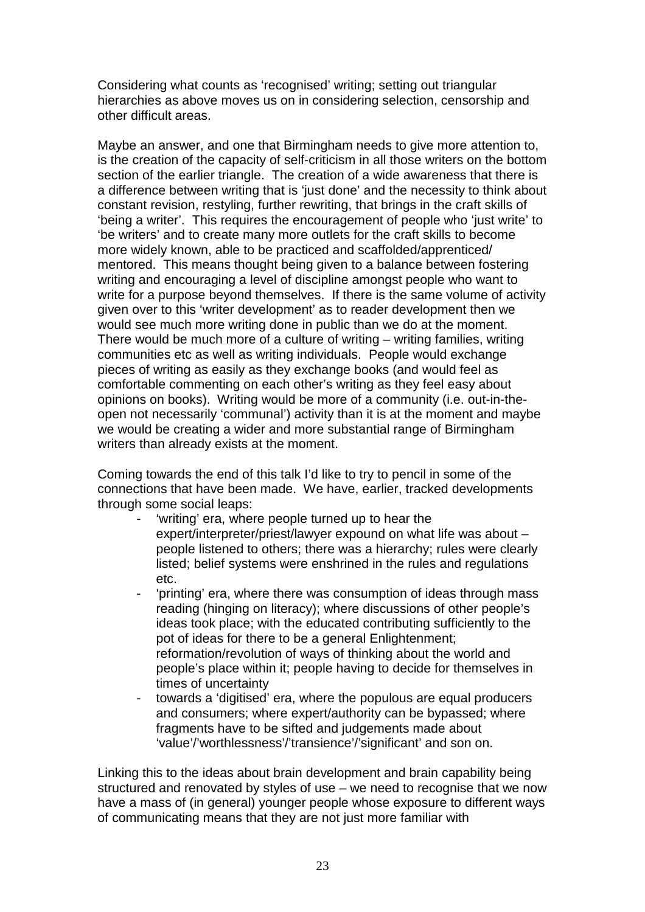Considering what counts as 'recognised' writing; setting out triangular hierarchies as above moves us on in considering selection, censorship and other difficult areas.

Maybe an answer, and one that Birmingham needs to give more attention to, is the creation of the capacity of self-criticism in all those writers on the bottom section of the earlier triangle. The creation of a wide awareness that there is a difference between writing that is 'just done' and the necessity to think about constant revision, restyling, further rewriting, that brings in the craft skills of 'being a writer'. This requires the encouragement of people who 'just write' to 'be writers' and to create many more outlets for the craft skills to become more widely known, able to be practiced and scaffolded/apprenticed/ mentored. This means thought being given to a balance between fostering writing and encouraging a level of discipline amongst people who want to write for a purpose beyond themselves. If there is the same volume of activity given over to this 'writer development' as to reader development then we would see much more writing done in public than we do at the moment. There would be much more of a culture of writing – writing families, writing communities etc as well as writing individuals. People would exchange pieces of writing as easily as they exchange books (and would feel as comfortable commenting on each other's writing as they feel easy about opinions on books). Writing would be more of a community (i.e. out-in-theopen not necessarily 'communal') activity than it is at the moment and maybe we would be creating a wider and more substantial range of Birmingham writers than already exists at the moment.

Coming towards the end of this talk I'd like to try to pencil in some of the connections that have been made. We have, earlier, tracked developments through some social leaps:

- 'writing' era, where people turned up to hear the expert/interpreter/priest/lawyer expound on what life was about – people listened to others; there was a hierarchy; rules were clearly listed; belief systems were enshrined in the rules and regulations etc.
- 'printing' era, where there was consumption of ideas through mass reading (hinging on literacy); where discussions of other people's ideas took place; with the educated contributing sufficiently to the pot of ideas for there to be a general Enlightenment; reformation/revolution of ways of thinking about the world and people's place within it; people having to decide for themselves in times of uncertainty
- towards a 'digitised' era, where the populous are equal producers and consumers; where expert/authority can be bypassed; where fragments have to be sifted and judgements made about 'value'/'worthlessness'/'transience'/'significant' and son on.

Linking this to the ideas about brain development and brain capability being structured and renovated by styles of use – we need to recognise that we now have a mass of (in general) younger people whose exposure to different ways of communicating means that they are not just more familiar with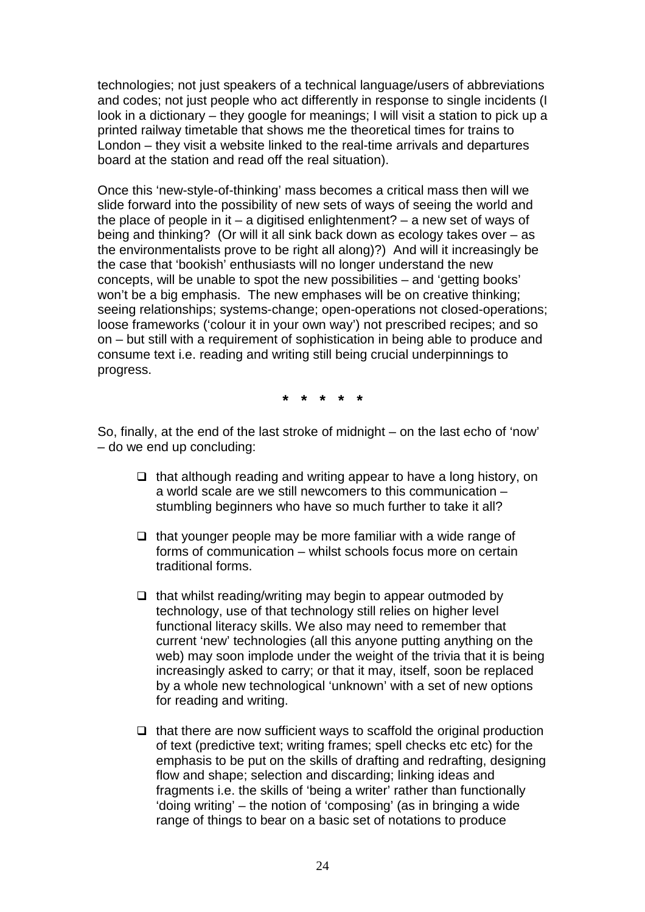technologies; not just speakers of a technical language/users of abbreviations and codes; not just people who act differently in response to single incidents (I look in a dictionary – they google for meanings; I will visit a station to pick up a printed railway timetable that shows me the theoretical times for trains to London – they visit a website linked to the real-time arrivals and departures board at the station and read off the real situation).

Once this 'new-style-of-thinking' mass becomes a critical mass then will we slide forward into the possibility of new sets of ways of seeing the world and the place of people in it – a digitised enlightenment? – a new set of ways of being and thinking? (Or will it all sink back down as ecology takes over – as the environmentalists prove to be right all along)?) And will it increasingly be the case that 'bookish' enthusiasts will no longer understand the new concepts, will be unable to spot the new possibilities – and 'getting books' won't be a big emphasis. The new emphases will be on creative thinking; seeing relationships; systems-change; open-operations not closed-operations; loose frameworks ('colour it in your own way') not prescribed recipes; and so on – but still with a requirement of sophistication in being able to produce and consume text i.e. reading and writing still being crucial underpinnings to progress.

**\* \* \* \* \***

So, finally, at the end of the last stroke of midnight – on the last echo of 'now' – do we end up concluding:

- $\Box$  that although reading and writing appear to have a long history, on a world scale are we still newcomers to this communication – stumbling beginners who have so much further to take it all?
- $\Box$  that younger people may be more familiar with a wide range of forms of communication – whilst schools focus more on certain traditional forms.
- $\Box$  that whilst reading/writing may begin to appear outmoded by technology, use of that technology still relies on higher level functional literacy skills. We also may need to remember that current 'new' technologies (all this anyone putting anything on the web) may soon implode under the weight of the trivia that it is being increasingly asked to carry; or that it may, itself, soon be replaced by a whole new technological 'unknown' with a set of new options for reading and writing.
- $\Box$  that there are now sufficient ways to scaffold the original production of text (predictive text; writing frames; spell checks etc etc) for the emphasis to be put on the skills of drafting and redrafting, designing flow and shape; selection and discarding; linking ideas and fragments i.e. the skills of 'being a writer' rather than functionally 'doing writing' – the notion of 'composing' (as in bringing a wide range of things to bear on a basic set of notations to produce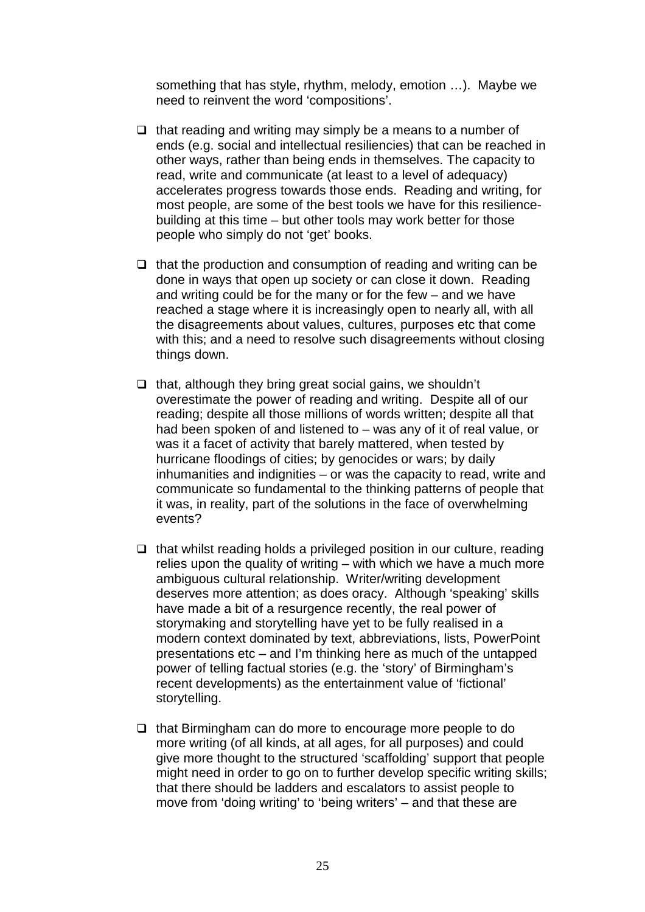something that has style, rhythm, melody, emotion …). Maybe we need to reinvent the word 'compositions'.

- $\Box$  that reading and writing may simply be a means to a number of ends (e.g. social and intellectual resiliencies) that can be reached in other ways, rather than being ends in themselves. The capacity to read, write and communicate (at least to a level of adequacy) accelerates progress towards those ends. Reading and writing, for most people, are some of the best tools we have for this resiliencebuilding at this time – but other tools may work better for those people who simply do not 'get' books.
- $\Box$  that the production and consumption of reading and writing can be done in ways that open up society or can close it down. Reading and writing could be for the many or for the few – and we have reached a stage where it is increasingly open to nearly all, with all the disagreements about values, cultures, purposes etc that come with this; and a need to resolve such disagreements without closing things down.
- $\Box$  that, although they bring great social gains, we shouldn't overestimate the power of reading and writing. Despite all of our reading; despite all those millions of words written; despite all that had been spoken of and listened to – was any of it of real value, or was it a facet of activity that barely mattered, when tested by hurricane floodings of cities; by genocides or wars; by daily inhumanities and indignities – or was the capacity to read, write and communicate so fundamental to the thinking patterns of people that it was, in reality, part of the solutions in the face of overwhelming events?
- $\Box$  that whilst reading holds a privileged position in our culture, reading relies upon the quality of writing – with which we have a much more ambiguous cultural relationship. Writer/writing development deserves more attention; as does oracy. Although 'speaking' skills have made a bit of a resurgence recently, the real power of storymaking and storytelling have yet to be fully realised in a modern context dominated by text, abbreviations, lists, PowerPoint presentations etc – and I'm thinking here as much of the untapped power of telling factual stories (e.g. the 'story' of Birmingham's recent developments) as the entertainment value of 'fictional' storytelling.
- $\Box$  that Birmingham can do more to encourage more people to do more writing (of all kinds, at all ages, for all purposes) and could give more thought to the structured 'scaffolding' support that people might need in order to go on to further develop specific writing skills; that there should be ladders and escalators to assist people to move from 'doing writing' to 'being writers' – and that these are